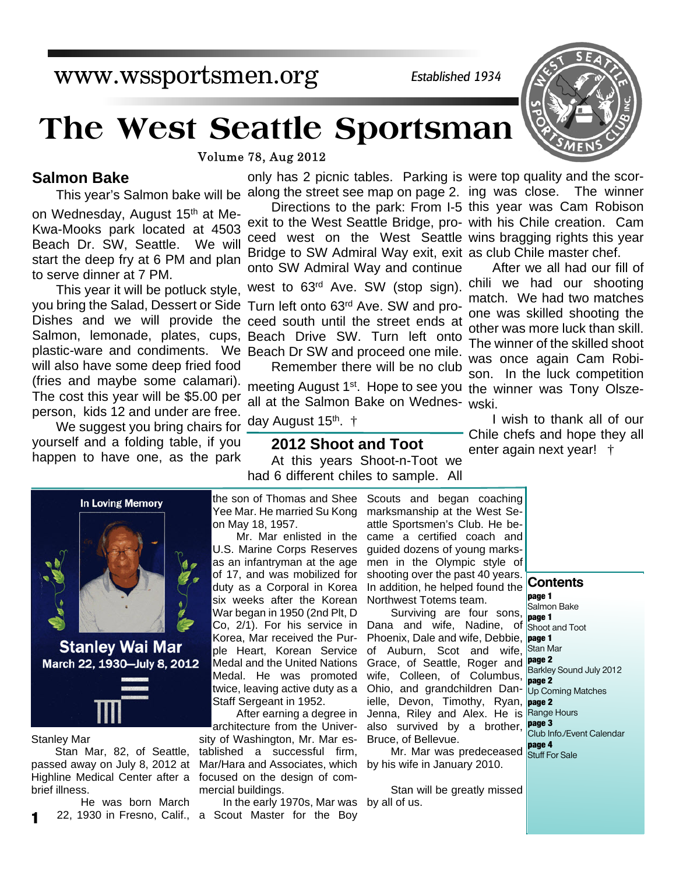## www.wssportsmen.org

*Established 1934*

# **The West Seattle Sportsman**

Volume 78, Aug 2012

### **Salmon Bake**

on Wednesday, August 15th at Me-Kwa-Mooks park located at 4503 Beach Dr. SW, Seattle. We will start the deep fry at 6 PM and plan to serve dinner at 7 PM.

Dishes and we will provide the ceed south until the street ends at This year it will be potluck style, will also have some deep fried food (fries and maybe some calamari). The cost this year will be \$5.00 per person, kids 12 and under are free.

We suggest you bring chairs for yourself and a folding table, if you happen to have one, as the park



exit to the West Seattle Bridge, pro-with his Chile creation. Cam ceed west on the West Seattle wins bragging rights this year Bridge to SW Admiral Way exit, exit as club Chile master chef. onto SW Admiral Way and continue west to 63rd Ave. SW (stop sign). chili we had our shooting you bring the Salad, Dessert or Side Turn left onto 63<sup>rd</sup> Ave. SW and pro-

Salmon, lemonade, plates, cups, Beach Drive SW. Turn left onto plastic-ware and condiments. We Beach Dr SW and proceed one mile. Remember there will be no club

> meeting August 1st. Hope to see you the winner was Tony Olszeall at the Salmon Bake on Wednes-wski.

day August 15<sup>th</sup>. †

### **2012 Shoot and Toot** At this years Shoot-n-Toot we had 6 different chiles to sample. All

Directions to the park: From I-5 this year was Cam Robison

After we all had our fill of match. We had two matches one was skilled shooting the other was more luck than skill. The winner of the skilled shoot was once again Cam Robison. In the luck competition

I wish to thank all of our Chile chefs and hope they all enter again next year! †



**Stanley Wai Mar** March 22, 1930-July 8, 2012

Stanley Mar

**1**

Stan Mar, 82, of Seattle, passed away on July 8, 2012 at Highline Medical Center after a brief illness.

He was born March

Yee Mar. He married Su Kong on May 18, 1957.

Mr. Mar enlisted in the U.S. Marine Corps Reserves as an infantryman at the age of 17, and was mobilized for duty as a Corporal in Korea six weeks after the Korean War began in 1950 (2nd Plt, D Co, 2/1). For his service in Korea, Mar received the Purple Heart, Korean Service Medal and the United Nations Medal. He was promoted twice, leaving active duty as a Staff Sergeant in 1952.

After earning a degree in architecture from the University of Washington, Mr. Mar established a successful firm, Mar/Hara and Associates, which by his wife in January 2010. focused on the design of commercial buildings.

22, 1930 in Fresno, Calif., a Scout Master for the Boy In the early 1970s, Mar was by all of us.

the son of Thomas and Shee Scouts and began coaching marksmanship at the West Seattle Sportsmen's Club. He became a certified coach and guided dozens of young marksmen in the Olympic style of shooting over the past 40 years. In addition, he helped found the **Contents** Northwest Totems team.

> Surviving are four sons, Dana and wife, Nadine, of Shoot and Toot Phoenix, Dale and wife, Debbie, **page 1** of Auburn, Scot and wife, Stan Mar Grace, of Seattle, Roger and **page 2** wife, Colleen, of Columbus, Ohio, and grandchildren Dan- Up Coming Matches ielle, Devon, Timothy, Ryan, **page 2** Jenna, Riley and Alex. He is Range Hours also survived by a brother, **page 3** Bruce, of Bellevue.

Mr. Mar was predeceased stuff For Sale

Stan will be greatly missed

**page 1** Salmon Bake **page 1** Barkley Sound July 2012 **page 2** Club Info./Event Calendar **page 4**

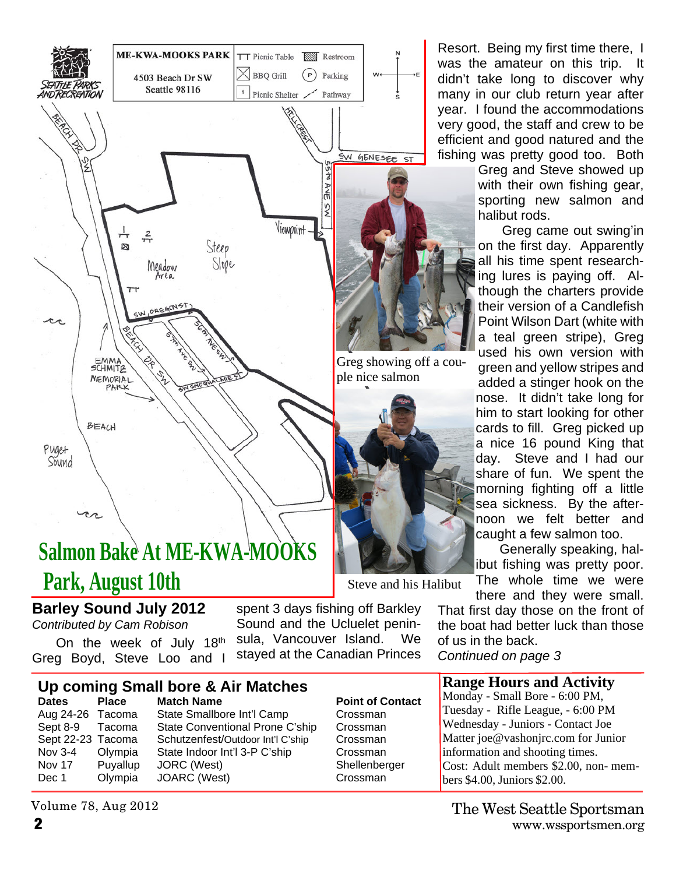

# **Salmon Bake At ME-KWA-MOOKS Park, August 10th**

### **Barley Sound July 2012**

*Contributed by Cam Robison*

On the week of July 18th Greg Boyd, Steve Loo and I

spent 3 days fishing off Barkley Sound and the Ucluelet peninsula, Vancouver Island. We stayed at the Canadian Princes

## **Up coming Small bore & Air Matches**

**Dates** Place Match Name **Point of Contact** Aug 24-26 Tacoma State Smallbore Int'l Camp Crossman Sept 8-9 Tacoma State Conventional Prone C'ship Crossman Sept 22-23 Tacoma Schutzenfest/Outdoor Int'l C'ship Crossman Nov 3-4 Olympia State Indoor Int'l 3-P C'ship Crossman Nov 17 Puyallup JORC (West) Shellenberger Dec 1 Olympia JOARC (West) Crossman

### Volume 78, Aug 2012

Resort. Being my first time there, I was the amateur on this trip. didn't take long to discover why many in our club return year after year. I found the accommodations very good, the staff and crew to be efficient and good natured and the fishing was pretty good too. Both

> Greg and Steve showed up with their own fishing gear, sporting new salmon and halibut rods.

> Greg came out swing'in on the first day. Apparently all his time spent researching lures is paying off. Although the charters provide their version of a Candlefish Point Wilson Dart (white with a teal green stripe), Greg used his own version with green and yellow stripes and added a stinger hook on the nose. It didn't take long for him to start looking for other cards to fill. Greg picked up a nice 16 pound King that day. Steve and I had our share of fun. We spent the morning fighting off a little sea sickness. By the afternoon we felt better and caught a few salmon too.

Generally speaking, halibut fishing was pretty poor.

The whole time we were there and they were small.

That first day those on the front of the boat had better luck than those of us in the back.

*Continued on page 3*

### **Range Hours and Activity**

Monday - Small Bore - 6:00 PM, Tuesday - Rifle League, - 6:00 PM Wednesday - Juniors - Contact Joe Matter joe@vashonjrc.com for Junior information and shooting times. Cost: Adult members \$2.00, non- members \$4.00, Juniors \$2.00.

Steve and his Halibut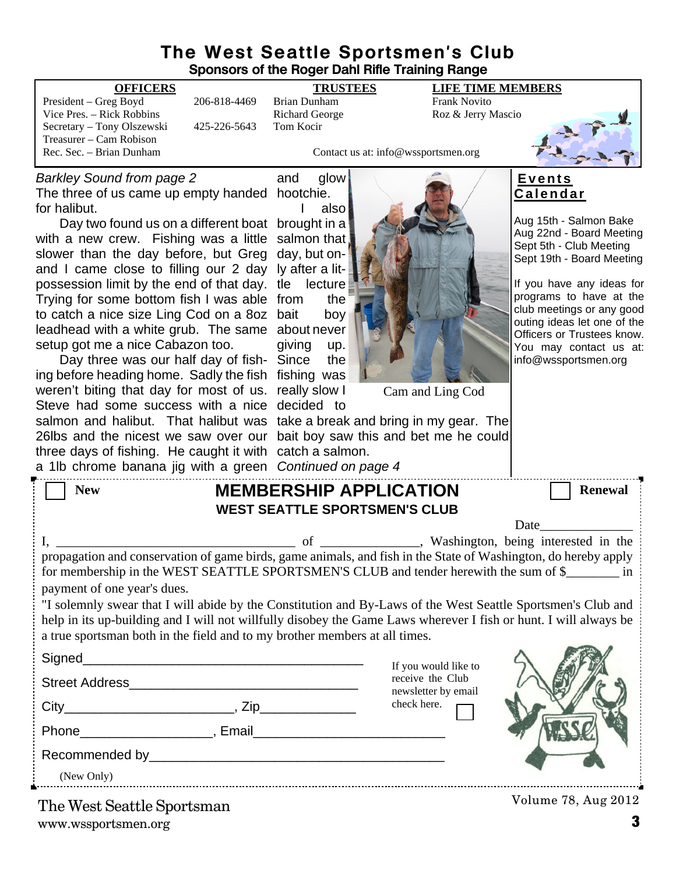### **The West Seattle Sportsmen's Club Sponsors of the Roger Dahl Rifle Training Range**

| <b>OFFICERS</b>                                                                                                                                                           |              | <b>TRUSTEES</b>              | <b>LIFE TIME MEMBERS</b>            |                                                          |
|---------------------------------------------------------------------------------------------------------------------------------------------------------------------------|--------------|------------------------------|-------------------------------------|----------------------------------------------------------|
| President - Greg Boyd                                                                                                                                                     | 206-818-4469 | Frank Novito<br>Brian Dunham |                                     |                                                          |
| Vice Pres. – Rick Robbins                                                                                                                                                 |              | <b>Richard George</b>        | Roz & Jerry Mascio                  |                                                          |
| Secretary - Tony Olszewski<br>Treasurer - Cam Robison                                                                                                                     | 425-226-5643 | Tom Kocir                    |                                     |                                                          |
| Rec. Sec. - Brian Dunham                                                                                                                                                  |              |                              | Contact us at: info@wssportsmen.org |                                                          |
|                                                                                                                                                                           |              |                              |                                     |                                                          |
| <b>Barkley Sound from page 2</b>                                                                                                                                          |              | glow<br>and                  |                                     | <u>Events</u>                                            |
| The three of us came up empty handed hootchie.                                                                                                                            |              |                              |                                     | <u>Calendar</u>                                          |
| for halibut.                                                                                                                                                              |              | also                         |                                     |                                                          |
| Day two found us on a different boat brought in a                                                                                                                         |              |                              |                                     | Aug 15th - Salmon Bake                                   |
| with a new crew. Fishing was a little salmon that                                                                                                                         |              |                              |                                     | Aug 22nd - Board Meeting<br>Sept 5th - Club Meeting      |
| slower than the day before, but Greg day, but on-                                                                                                                         |              |                              |                                     | Sept 19th - Board Meeting                                |
| and I came close to filling our 2 day Iy after a lit-                                                                                                                     |              |                              |                                     |                                                          |
| possession limit by the end of that day. tle lecture                                                                                                                      |              |                              |                                     | If you have any ideas for                                |
| Trying for some bottom fish I was able from                                                                                                                               |              | the                          |                                     | programs to have at the                                  |
| to catch a nice size Ling Cod on a 8oz bait                                                                                                                               |              | boy                          |                                     | club meetings or any good<br>outing ideas let one of the |
| leadhead with a white grub. The same about never                                                                                                                          |              |                              |                                     | Officers or Trustees know.                               |
| setup got me a nice Cabazon too.                                                                                                                                          |              | giving<br>up.                |                                     | You may contact us at:                                   |
| Day three was our half day of fish- Since                                                                                                                                 |              | the                          |                                     | info@wssportsmen.org                                     |
| ing before heading home. Sadly the fish fishing was                                                                                                                       |              |                              |                                     |                                                          |
| weren't biting that day for most of us. really slow I                                                                                                                     |              |                              | Cam and Ling Cod                    |                                                          |
| Steve had some success with a nice decided to                                                                                                                             |              |                              |                                     |                                                          |
| salmon and halibut. That halibut was take a break and bring in my gear. The                                                                                               |              |                              |                                     |                                                          |
| 26lbs and the nicest we saw over our bait boy saw this and bet me he could                                                                                                |              |                              |                                     |                                                          |
| three days of fishing. He caught it with catch a salmon.                                                                                                                  |              |                              |                                     |                                                          |
| a 1lb chrome banana jig with a green Continued on page 4                                                                                                                  |              |                              |                                     |                                                          |
| <b>New</b>                                                                                                                                                                |              |                              | <b>MEMBERSHIP APPLICATION</b>       | <b>Renewal</b>                                           |
| <b>WEST SEATTLE SPORTSMEN'S CLUB</b>                                                                                                                                      |              |                              |                                     |                                                          |
| Date                                                                                                                                                                      |              |                              |                                     |                                                          |
|                                                                                                                                                                           |              |                              |                                     |                                                          |
| of _______________, Washington, being interested in the<br>propagation and conservation of game birds, game animals, and fish in the State of Washington, do hereby apply |              |                              |                                     |                                                          |
| for membership in the WEST SEATTLE SPORTSMEN'S CLUB and tender herewith the sum of \$<br>1n                                                                               |              |                              |                                     |                                                          |
| payment of one year's dues.                                                                                                                                               |              |                              |                                     |                                                          |
| "I solemnly swear that I will abide by the Constitution and By-Laws of the West Seattle Sportsmen's Club and                                                              |              |                              |                                     |                                                          |
| help in its up-building and I will not willfully disobey the Game Laws wherever I fish or hunt. I will always be                                                          |              |                              |                                     |                                                          |
| a true sportsman both in the field and to my brother members at all times.                                                                                                |              |                              |                                     |                                                          |
|                                                                                                                                                                           |              |                              |                                     |                                                          |
|                                                                                                                                                                           |              |                              | If you would like to                |                                                          |
|                                                                                                                                                                           |              |                              | receive the Club                    |                                                          |
|                                                                                                                                                                           |              |                              | newsletter by email<br>check here.  |                                                          |
|                                                                                                                                                                           |              |                              |                                     |                                                          |
|                                                                                                                                                                           |              |                              |                                     |                                                          |

Recommended by\_\_\_\_\_\_\_\_\_\_\_\_\_\_\_\_\_\_\_\_\_\_\_\_\_\_\_\_\_\_\_\_\_\_\_\_\_\_\_\_

(New Only)

www.wssportsmen.org **3** The West Seattle Sportsman

Volume 78, Aug 2012